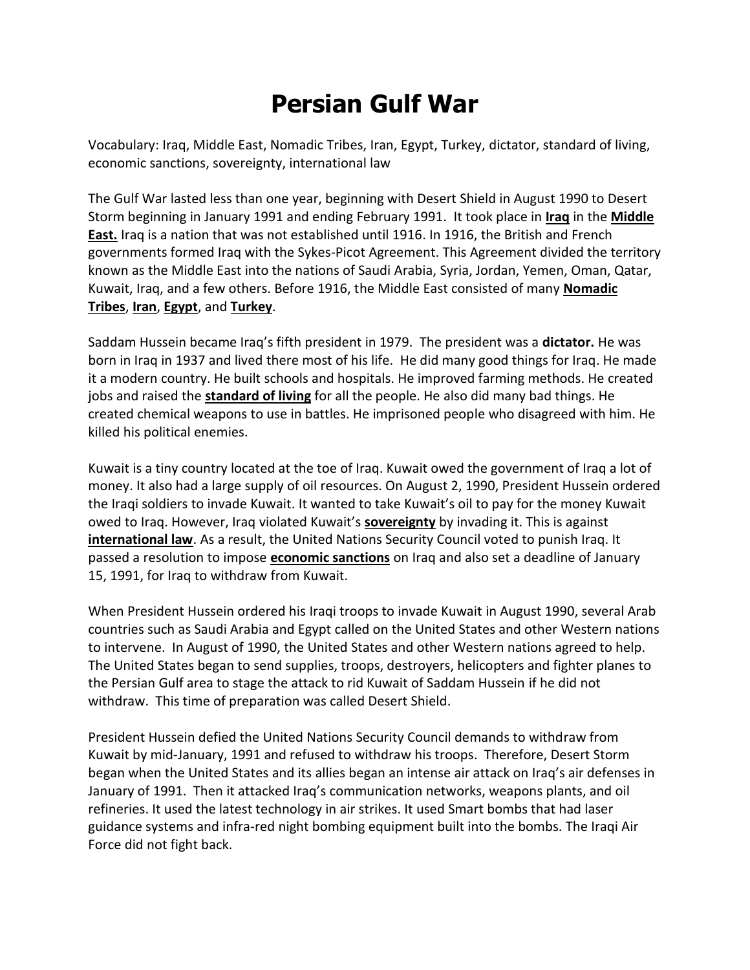## **Persian Gulf War**

Vocabulary: Iraq, Middle East, Nomadic Tribes, Iran, Egypt, Turkey, dictator, standard of living, economic sanctions, sovereignty, international law

The Gulf War lasted less than one year, beginning with Desert Shield in August 1990 to Desert Storm beginning in January 1991 and ending February 1991. It took place in **Iraq** in the **Middle East.** Iraq is a nation that was not established until 1916. In 1916, the British and French governments formed Iraq with the Sykes-Picot Agreement. This Agreement divided the territory known as the Middle East into the nations of Saudi Arabia, Syria, Jordan, Yemen, Oman, Qatar, Kuwait, Iraq, and a few others. Before 1916, the Middle East consisted of many **Nomadic Tribes**, **Iran**, **Egypt**, and **Turkey**.

Saddam Hussein became Iraq's fifth president in 1979. The president was a **dictator.** He was born in Iraq in 1937 and lived there most of his life. He did many good things for Iraq. He made it a modern country. He built schools and hospitals. He improved farming methods. He created jobs and raised the **standard of living** for all the people. He also did many bad things. He created chemical weapons to use in battles. He imprisoned people who disagreed with him. He killed his political enemies.

Kuwait is a tiny country located at the toe of Iraq. Kuwait owed the government of Iraq a lot of money. It also had a large supply of oil resources. On August 2, 1990, President Hussein ordered the Iraqi soldiers to invade Kuwait. It wanted to take Kuwait's oil to pay for the money Kuwait owed to Iraq. However, Iraq violated Kuwait's **sovereignty** by invading it. This is against **international law**. As a result, the United Nations Security Council voted to punish Iraq. It passed a resolution to impose **economic sanctions** on Iraq and also set a deadline of January 15, 1991, for Iraq to withdraw from Kuwait.

When President Hussein ordered his Iraqi troops to invade Kuwait in August 1990, several Arab countries such as Saudi Arabia and Egypt called on the United States and other Western nations to intervene. In August of 1990, the United States and other Western nations agreed to help. The United States began to send supplies, troops, destroyers, helicopters and fighter planes to the Persian Gulf area to stage the attack to rid Kuwait of Saddam Hussein if he did not withdraw. This time of preparation was called Desert Shield.

President Hussein defied the United Nations Security Council demands to withdraw from Kuwait by mid-January, 1991 and refused to withdraw his troops. Therefore, Desert Storm began when the United States and its allies began an intense air attack on Iraq's air defenses in January of 1991. Then it attacked Iraq's communication networks, weapons plants, and oil refineries. It used the latest technology in air strikes. It used Smart bombs that had laser guidance systems and infra-red night bombing equipment built into the bombs. The Iraqi Air Force did not fight back.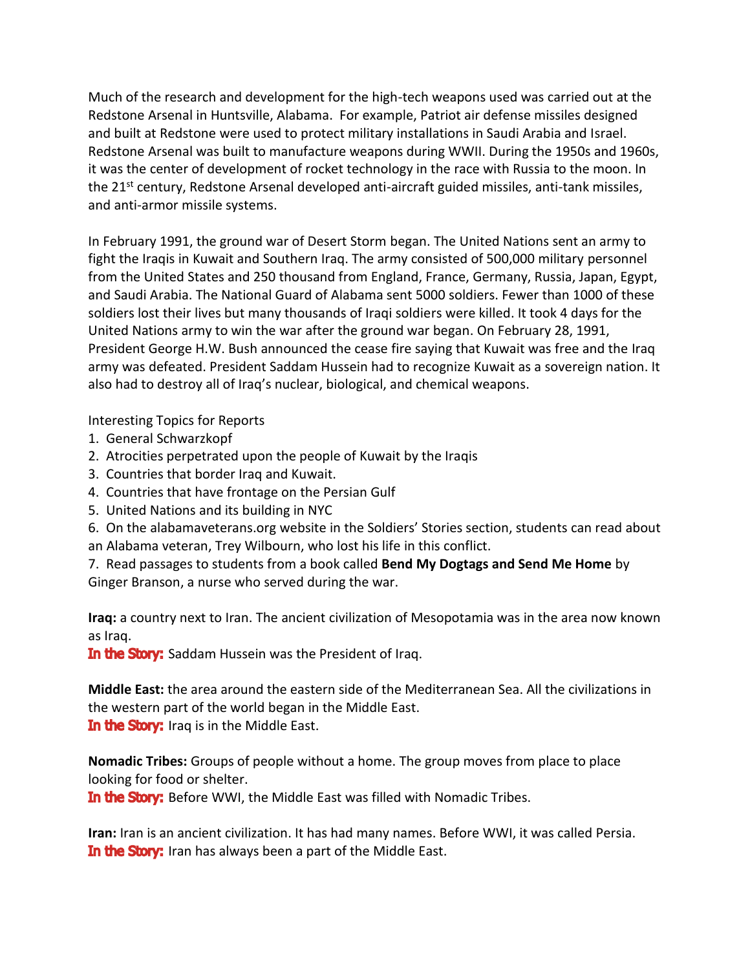Much of the research and development for the high-tech weapons used was carried out at the Redstone Arsenal in Huntsville, Alabama. For example, Patriot air defense missiles designed and built at Redstone were used to protect military installations in Saudi Arabia and Israel. Redstone Arsenal was built to manufacture weapons during WWII. During the 1950s and 1960s, it was the center of development of rocket technology in the race with Russia to the moon. In the 21<sup>st</sup> century, Redstone Arsenal developed anti-aircraft guided missiles, anti-tank missiles, and anti-armor missile systems.

In February 1991, the ground war of Desert Storm began. The United Nations sent an army to fight the Iraqis in Kuwait and Southern Iraq. The army consisted of 500,000 military personnel from the United States and 250 thousand from England, France, Germany, Russia, Japan, Egypt, and Saudi Arabia. The National Guard of Alabama sent 5000 soldiers. Fewer than 1000 of these soldiers lost their lives but many thousands of Iraqi soldiers were killed. It took 4 days for the United Nations army to win the war after the ground war began. On February 28, 1991, President George H.W. Bush announced the cease fire saying that Kuwait was free and the Iraq army was defeated. President Saddam Hussein had to recognize Kuwait as a sovereign nation. It also had to destroy all of Iraq's nuclear, biological, and chemical weapons.

Interesting Topics for Reports

- 1. General Schwarzkopf
- 2. Atrocities perpetrated upon the people of Kuwait by the Iraqis
- 3. Countries that border Iraq and Kuwait.
- 4. Countries that have frontage on the Persian Gulf
- 5. United Nations and its building in NYC

6. On the alabamaveterans.org website in the Soldiers' Stories section, students can read about an Alabama veteran, Trey Wilbourn, who lost his life in this conflict.

7. Read passages to students from a book called **Bend My Dogtags and Send Me Home** by Ginger Branson, a nurse who served during the war.

**Iraq:** a country next to Iran. The ancient civilization of Mesopotamia was in the area now known as Iraq.

In the Story: Saddam Hussein was the President of Iraq.

**Middle East:** the area around the eastern side of the Mediterranean Sea. All the civilizations in the western part of the world began in the Middle East. In the Story: Iraq is in the Middle East.

**Nomadic Tribes:** Groups of people without a home. The group moves from place to place looking for food or shelter.

In the Story: Before WWI, the Middle East was filled with Nomadic Tribes.

**Iran:** Iran is an ancient civilization. It has had many names. Before WWI, it was called Persia. In the Story: Iran has always been a part of the Middle East.